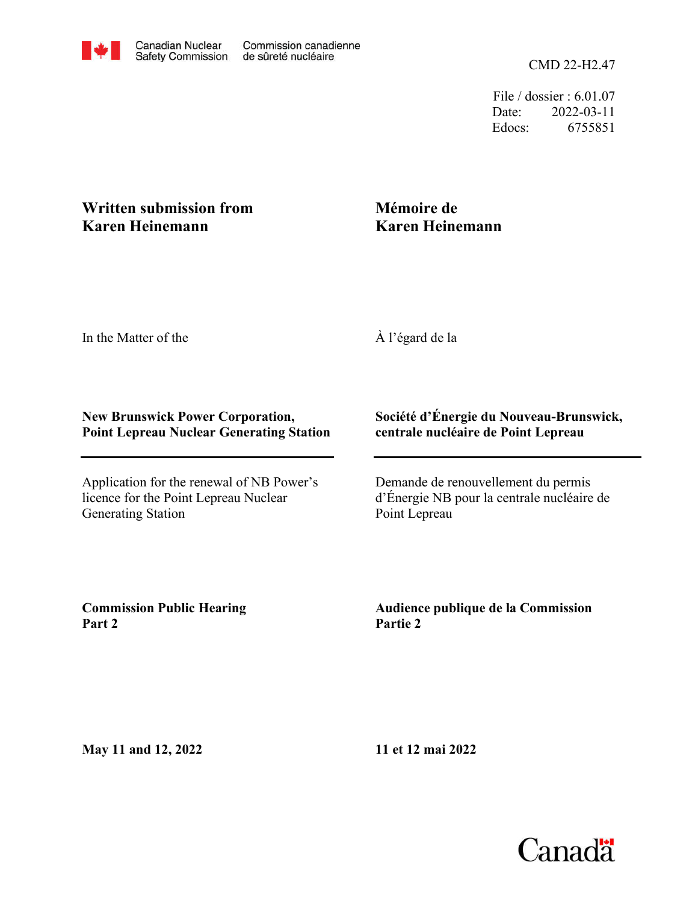CMD 22-H2.47

File / dossier : 6.01.07 Date: 2022-03-11 Edocs: 6755851

## **Written submission from Karen Heinemann**

## **Mémoire de Karen Heinemann**

In the Matter of the

À l'égard de la

## **New Brunswick Power Corporation, Point Lepreau Nuclear Generating Station**

Application for the renewal of NB Power's licence for the Point Lepreau Nuclear Generating Station

## **Société d'Énergie du Nouveau-Brunswick, centrale nucléaire de Point Lepreau**

Demande de renouvellement du permis d'Énergie NB pour la centrale nucléaire de Point Lepreau

**Commission Public Hearing Part 2**

**Audience publique de la Commission Partie 2**

**May 11 and 12, 2022**

**11 et 12 mai 2022**

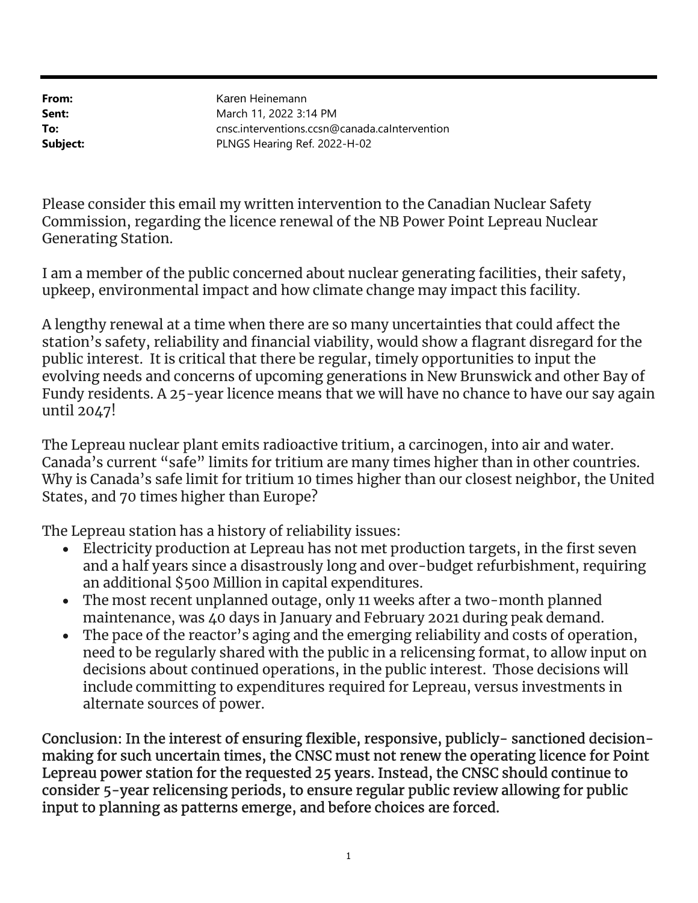From: Sent: To: Subject: PLNGS Hearing Ref. 2022-H-02 cnsc.interventions.ccsn@canada.caIntervention March 11, 2022 3:14 PM Karen Heinemann

Please consider this email my written intervention to the Canadian Nuclear Safety Commission, regarding the licence renewal of the NB Power Point Lepreau Nuclear Generating Station.

I am a member of the public concerned about nuclear generating facilities, their safety, upkeep, environmental impact and how climate change may impact this facility.

A lengthy renewal at a time when there are so many uncertainties that could affect the station's safety, reliability and financial viability, would show a flagrant disregard for the public interest. It is critical that there be regular, timely opportunities to input the evolving needs and concerns of upcoming generations in New Brunswick and other Bay of Fundy residents. A 25-year licence means that we will have no chance to have our say again until 2047!

The Lepreau nuclear plant emits radioactive tritium, a carcinogen, into air and water. Canada's current "safe" limits for tritium are many times higher than in other countries. Why is Canada's safe limit for tritium 10 times higher than our closest neighbor, the United States, and 70 times higher than Europe?

The Lepreau station has a history of reliability issues:

- Electricity production at Lepreau has not met production targets, in the first seven and a half years since a disastrously long and over-budget refurbishment, requiring an additional \$500 Million in capital expenditures.
- The most recent unplanned outage, only 11 weeks after a two-month planned maintenance, was 40 days in January and February 2021 during peak demand.
- The pace of the reactor's aging and the emerging reliability and costs of operation, need to be regularly shared with the public in a relicensing format, to allow input on decisions about continued operations, in the public interest. Those decisions will include committing to expenditures required for Lepreau, versus investments in alternate sources of power.

Conclusion: In the interest of ensuring flexible, responsive, publicly- sanctioned decisionmaking for such uncertain times, the CNSC must not renew the operating licence for Point Lepreau power station for the requested 25 years. Instead, the CNSC should continue to consider 5-year relicensing periods, to ensure regular public review allowing for public input to planning as patterns emerge, and before choices are forced.